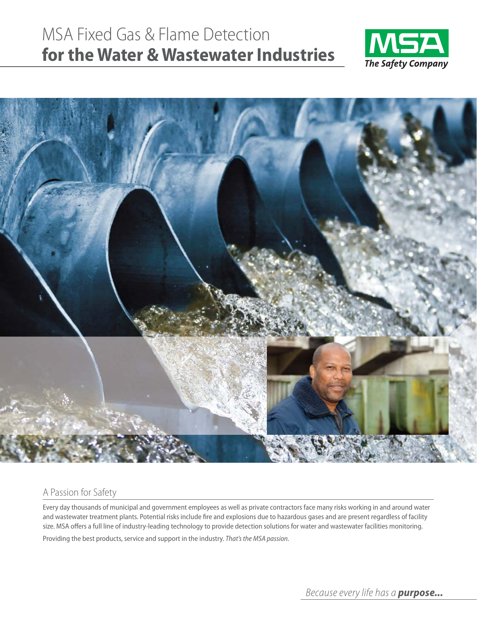# MSA Fixed Gas & Flame Detection **for the Water & Wastewater Industries**





#### A Passion for Safety

Every day thousands of municipal and government employees as well as private contractors face many risks working in and around water and wastewater treatment plants. Potential risks include fire and explosions due to hazardous gases and are present regardless of facility size. MSA offers a full line of industry-leading technology to provide detection solutions for water and wastewater facilities monitoring.

Providing the best products, service and support in the industry. *That's the MSA passion.*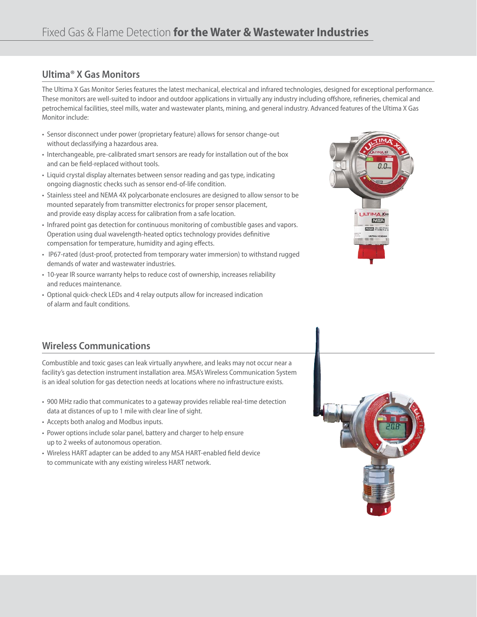### **Ultima® X Gas Monitors**

The Ultima X Gas Monitor Series features the latest mechanical, electrical and infrared technologies, designed for exceptional performance. These monitors are well-suited to indoor and outdoor applications in virtually any industry including offshore, refineries, chemical and petrochemical facilities, steel mills, water and wastewater plants, mining, and general industry. Advanced features of the Ultima X Gas Monitor include:

- Sensor disconnect under power (proprietary feature) allows for sensor change-out without declassifying a hazardous area.
- Interchangeable, pre-calibrated smart sensors are ready for installation out of the box and can be field-replaced without tools.
- Liquid crystal display alternates between sensor reading and gas type, indicating ongoing diagnostic checks such as sensor end-of-life condition.
- Stainless steel and NEMA 4X polycarbonate enclosures are designed to allow sensor to be mounted separately from transmitter electronics for proper sensor placement, and provide easy display access for calibration from a safe location.
- Infrared point gas detection for continuous monitoring of combustible gases and vapors. Operation using dual wavelength-heated optics technology provides definitive compensation for temperature, humidity and aging effects.
- IP67-rated (dust-proof, protected from temporary water immersion) to withstand rugged demands of water and wastewater industries.
- 10-year IR source warranty helps to reduce cost of ownership, increases reliability and reduces maintenance.
- Optional quick-check LEDs and 4 relay outputs allow for increased indication of alarm and fault conditions.



## **Wireless Communications**

Combustible and toxic gases can leak virtually anywhere, and leaks may not occur near a facility's gas detection instrument installation area. MSA's Wireless Communication System is an ideal solution for gas detection needs at locations where no infrastructure exists.

- 900 MHz radio that communicates to a gateway provides reliable real-time detection data at distances of up to 1 mile with clear line of sight.
- Accepts both analog and Modbus inputs.
- Power options include solar panel, battery and charger to help ensure up to 2 weeks of autonomous operation.
- Wireless HART adapter can be added to any MSA HART-enabled field device to communicate with any existing wireless HART network.

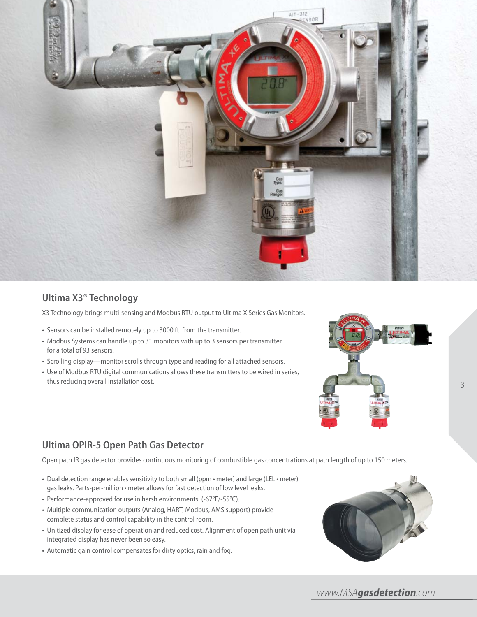

#### **Ultima X3® Technology**

X3 Technology brings multi-sensing and Modbus RTU output to Ultima X Series Gas Monitors.

- Sensors can be installed remotely up to 3000 ft. from the transmitter.
- Modbus Systems can handle up to 31 monitors with up to 3 sensors per transmitter for a total of 93 sensors.
- Scrolling display—monitor scrolls through type and reading for all attached sensors.
- Use of Modbus RTU digital communications allows these transmitters to be wired in series, thus reducing overall installation cost.



#### **Ultima OPIR-5 Open Path Gas Detector**

Open path IR gas detector provides continuous monitoring of combustible gas concentrations at path length of up to 150 meters.

- Dual detection range enables sensitivity to both small (ppm meter) and large (LEL meter) gas leaks. Parts-per-million • meter allows for fast detection of low level leaks.
- Performance-approved for use in harsh environments (-67°F/-55°C).
- Multiple communication outputs (Analog, HART, Modbus, AMS support) provide complete status and control capability in the control room.
- Unitized display for ease of operation and reduced cost. Alignment of open path unit via integrated display has never been so easy.
- Automatic gain control compensates for dirty optics, rain and fog.

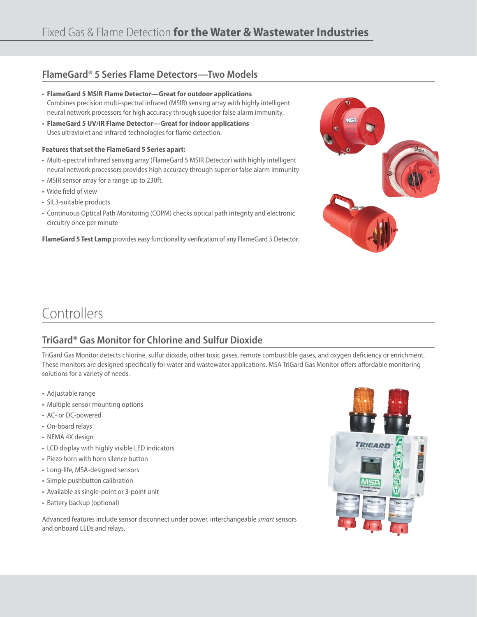#### **FlameGard® 5 Series Flame Detectors—Two Models**

- **FlameGard 5 MSIR Flame Detector—Great for outdoor applications** Combines precision multi-spectral infrared (MSIR) sensing array with highly intelligent neural network processors for high accuracy through superior false alarm immunity.
- **FlameGard 5 UV/IR Flame Detector—Great for indoor applications** Uses ultraviolet and infrared technologies for flame detection.

#### **Features that set the FlameGard 5 Series apart:**

- Multi-spectral infrared sensing array (FlameGard 5 MSIR Detector) with highly intelligent neural network processors provides high accuracy through superior false alarm immunity
- MSIR sensor array for a range up to 230ft.
- Wide field of view
- SIL3-suitable products
- Continuous Optical Path Monitoring (COPM) checks optical path integrity and electronic circuitry once per minute

FlameGard 5 Test Lamp provides easy functionality verification of any FlameGard 5 Detector.



## **Controllers**

## **TriGard® Gas Monitor for Chlorine and Sulfur Dioxide**

TriGard Gas Monitor detects chlorine, sulfur dioxide, other toxic gases, remote combustible gases, and oxygen deficiency or enrichment. These monitors are designed specifically for water and wastewater applications. MSA TriGard Gas Monitor offers affordable monitoring solutions for a variety of needs.

- Adjustable range
- Multiple sensor mounting options
- AC- or DC-powered
- On-board relays
- NEMA 4X design
- LCD display with highly visible LED indicators
- Piezo horn with horn silence button
- Long-life, MSA-designed sensors
- Simple pushbutton calibration
- Available as single-point or 3-point unit
- Battery backup (optional)

Advanced features include sensor disconnect under power, interchangeable *smart* sensors and onboard LEDs and relays.

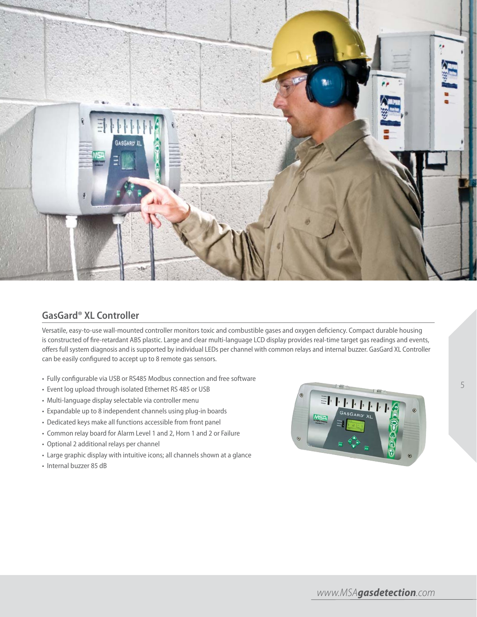

#### **GasGard® XL Controller**

Versatile, easy-to-use wall-mounted controller monitors toxic and combustible gases and oxygen deficiency. Compact durable housing is constructed of fire-retardant ABS plastic. Large and clear multi-language LCD display provides real-time target gas readings and events, offers full system diagnosis and is supported by individual LEDs per channel with common relays and internal buzzer. GasGard XL Controller can be easily configured to accept up to 8 remote gas sensors.

- Fully configurable via USB or RS485 Modbus connection and free software
- Event log upload through isolated Ethernet RS 485 or USB
- Multi-language display selectable via controller menu
- Expandable up to 8 independent channels using plug-in boards
- Dedicated keys make all functions accessible from front panel
- Common relay board for Alarm Level 1 and 2, Horn 1 and 2 or Failure
- Optional 2 additional relays per channel
- Large graphic display with intuitive icons; all channels shown at a glance
- Internal buzzer 85 dB



5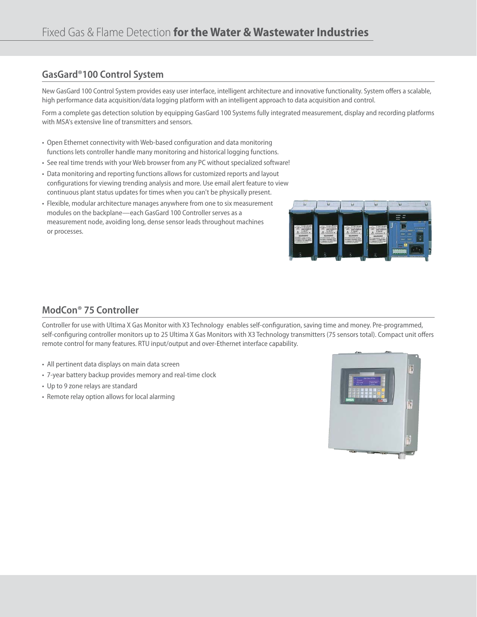### **GasGard®100 Control System**

New GasGard 100 Control System provides easy user interface, intelligent architecture and innovative functionality. System offers a scalable, high performance data acquisition/data logging platform with an intelligent approach to data acquisition and control.

Form a complete gas detection solution by equipping GasGard 100 Systems fully integrated measurement, display and recording platforms with MSA's extensive line of transmitters and sensors.

- Open Ethernet connectivity with Web-based configuration and data monitoring functions lets controller handle many monitoring and historical logging functions.
- See real time trends with your Web browser from any PC without specialized software!
- Data monitoring and reporting functions allows for customized reports and layout configurations for viewing trending analysis and more. Use email alert feature to view continuous plant status updates for times when you can't be physically present.
- Flexible, modular architecture manages anywhere from one to six measurement modules on the backplane—each GasGard 100 Controller serves as a measurement node, avoiding long, dense sensor leads throughout machines or processes.



### **ModCon® 75 Controller**

Controller for use with Ultima X Gas Monitor with X3 Technology enables self-configuration, saving time and money. Pre-programmed, self-configuring controller monitors up to 25 Ultima X Gas Monitors with X3 Technology transmitters (75 sensors total). Compact unit offers remote control for many features. RTU input/output and over-Ethernet interface capability.

- All pertinent data displays on main data screen
- 7-year battery backup provides memory and real-time clock
- Up to 9 zone relays are standard
- Remote relay option allows for local alarming

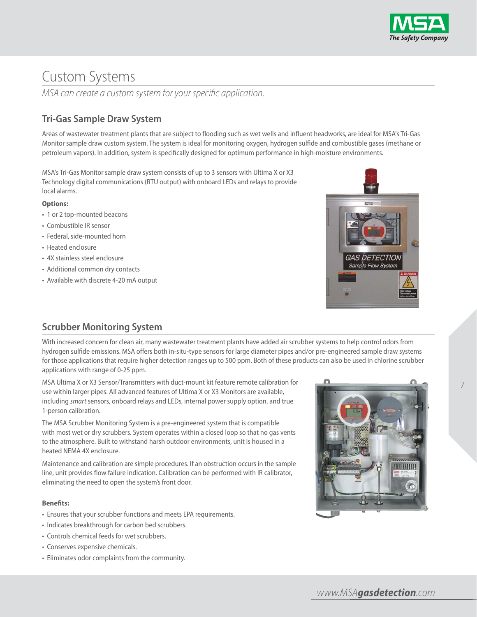

## Custom Systems

MSA can create a custom system for your specific application.

## **Tri-Gas Sample Draw System**

Areas of wastewater treatment plants that are subject to flooding such as wet wells and influent headworks, are ideal for MSA's Tri-Gas Monitor sample draw custom system. The system is ideal for monitoring oxygen, hydrogen sulfide and combustible gases (methane or petroleum vapors). In addition, system is specifically designed for optimum performance in high-moisture environments.

MSA's Tri-Gas Monitor sample draw system consists of up to 3 sensors with Ultima X or X3 Technology digital communications (RTU output) with onboard LEDs and relays to provide local alarms.

#### **Options:**

- 1 or 2 top-mounted beacons
- Combustible IR sensor
- Federal, side-mounted horn
- Heated enclosure
- 4X stainless steel enclosure
- Additional common dry contacts
- Available with discrete 4-20 mA output



#### **Scrubber Monitoring System**

With increased concern for clean air, many wastewater treatment plants have added air scrubber systems to help control odors from hydrogen sulfide emissions. MSA offers both in-situ-type sensors for large diameter pipes and/or pre-engineered sample draw systems for those applications that require higher detection ranges up to 500 ppm. Both of these products can also be used in chlorine scrubber applications with range of 0-25 ppm.

MSA Ultima X or X3 Sensor/Transmitters with duct-mount kit feature remote calibration for use within larger pipes. All advanced features of Ultima X or X3 Monitors are available, including *smart* sensors, onboard relays and LEDs, internal power supply option, and true 1-person calibration.

The MSA Scrubber Monitoring System is a pre-engineered system that is compatible with most wet or dry scrubbers. System operates within a closed loop so that no gas vents to the atmosphere. Built to withstand harsh outdoor environments, unit is housed in a heated NEMA 4X enclosure.

Maintenance and calibration are simple procedures. If an obstruction occurs in the sample line, unit provides flow failure indication. Calibration can be performed with IR calibrator, eliminating the need to open the system's front door.

#### **Benefits:**

- Ensures that your scrubber functions and meets EPA requirements.
- Indicates breakthrough for carbon bed scrubbers.
- Controls chemical feeds for wet scrubbers.
- Conserves expensive chemicals.
- Eliminates odor complaints from the community.



7